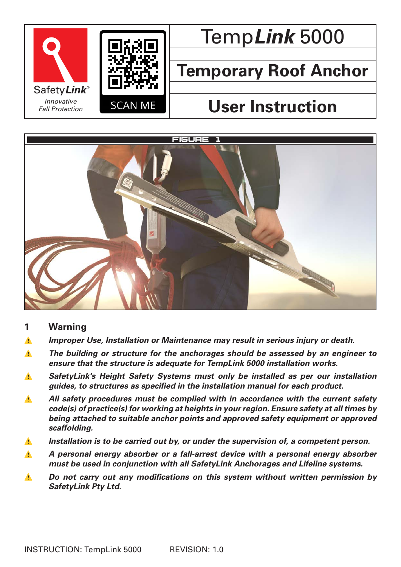



# Temp*Link* 5000

## **Temporary Roof Anchor**

## **User Instruction**



## **1 Warning**

- ⚠ *Improper Use, Installation or Maintenance may result in serious injury or death.*
- ⚠ *The building or structure for the anchorages should be assessed by an engineer to ensure that the structure is adequate for TempLink 5000 installation works.*
- ⚠ *SafetyLink's Height Safety Systems must only be installed as per our installation guides, to structures as specified in the installation manual for each product.*
- **All safety procedures must be complied with in accordance with the current safety** *code(s) of practice(s) for working at heights in your region. Ensure safety at all times by being attached to suitable anchor points and approved safety equipment or approved scaffolding.*
- ⚠ *Installation is to be carried out by, or under the supervision of, a competent person.*
- ⚠ *A personal energy absorber or a fall-arrest device with a personal energy absorber must be used in conjunction with all SafetyLink Anchorages and Lifeline systems.*
- *N Do not carry out any modifications on this system without written permission by SafetyLink Pty Ltd.*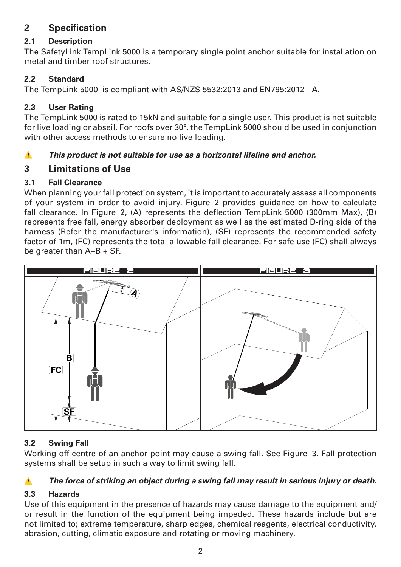## **2 Specification**

## **2.1 Description**

The SafetyLink TempLink 5000 is a temporary single point anchor suitable for installation on metal and timber roof structures.

## **2.2 Standard**

The TempLink 5000 is compliant with AS/NZS 5532:2013 and EN795:2012 - A.

## **2.3 User Rating**

The TempLink 5000 is rated to 15kN and suitable for a single user. This product is not suitable for live loading or abseil. For roofs over 30**º**, the TempLink 5000 should be used in conjunction with other access methods to ensure no live loading.

## ⚠ *This product is not suitable for use as a horizontal lifeline end anchor.*

## **3 Limitations of Use**

## **3.1 Fall Clearance**

When planning your fall protection system, it is important to accurately assess all components of your system in order to avoid injury. Figure 2 provides guidance on how to calculate fall clearance. In Figure 2, (A) represents the deflection TempLink 5000 (300mm Max), (B) represents free fall, energy absorber deployment as well as the estimated D-ring side of the harness (Refer the manufacturer's information), (SF) represents the recommended safety factor of 1m, (FC) represents the total allowable fall clearance. For safe use (FC) shall always be greater than A+B + SF.



## **3.2 Swing Fall**

Working off centre of an anchor point may cause a swing fall. See Figure 3. Fall protection systems shall be setup in such a way to limit swing fall.

## ⚠ *The force of striking an object during a swing fall may result in serious injury or death.*

## **3.3 Hazards**

Use of this equipment in the presence of hazards may cause damage to the equipment and/ or result in the function of the equipment being impeded. These hazards include but are not limited to; extreme temperature, sharp edges, chemical reagents, electrical conductivity, abrasion, cutting, climatic exposure and rotating or moving machinery.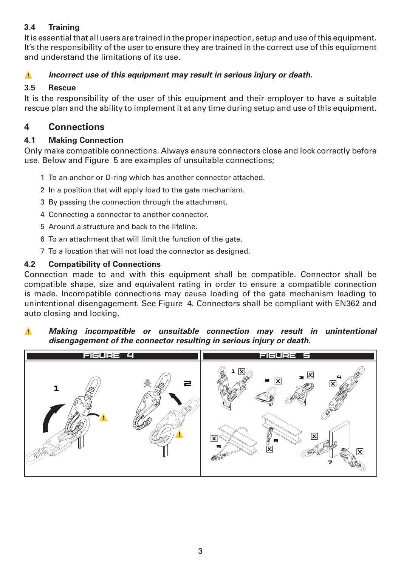## **3.4 Training**

It is essential that all users are trained in the proper inspection, setup and use of this equipment. It's the responsibility of the user to ensure they are trained in the correct use of this equipment and understand the limitations of its use.

### **A** *Incorrect use of this equipment may result in serious injury or death.*

### **3.5 Rescue**

It is the responsibility of the user of this equipment and their employer to have a suitable rescue plan and the ability to implement it at any time during setup and use of this equipment.

## **4 Connections**

#### **4.1 Making Connection**

Only make compatible connections. Always ensure connectors close and lock correctly before use. Below and Figure 5 are examples of unsuitable connections;

- 1 To an anchor or D-ring which has another connector attached.
- 2 In a position that will apply load to the gate mechanism.
- 3 By passing the connection through the attachment.
- 4 Connecting a connector to another connector.
- 5 Around a structure and back to the lifeline.
- 6 To an attachment that will limit the function of the gate.
- 7 To a location that will not load the connector as designed.

#### **4.2 Compatibility of Connections**

Connection made to and with this equipment shall be compatible. Connector shall be compatible shape, size and equivalent rating in order to ensure a compatible connection is made. Incompatible connections may cause loading of the gate mechanism leading to unintentional disengagement. See Figure 4. Connectors shall be compliant with EN362 and auto closing and locking.

#### ⚠ *Making incompatible or unsuitable connection may result in unintentional disengagement of the connector resulting in serious injury or death.*

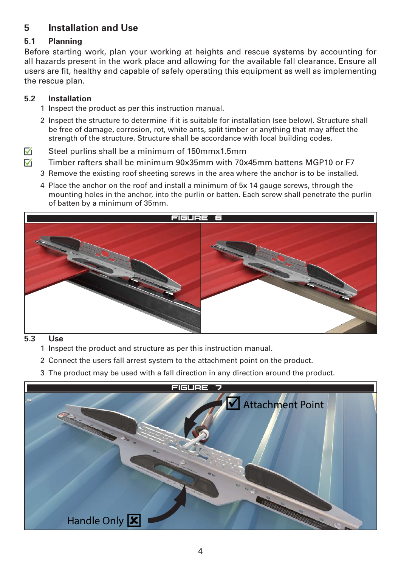## **5 Installation and Use**

## **5.1 Planning**

Before starting work, plan your working at heights and rescue systems by accounting for all hazards present in the work place and allowing for the available fall clearance. Ensure all users are fit, healthy and capable of safely operating this equipment as well as implementing the rescue plan.

#### **5.2 Installation**

- 1 Inspect the product as per this instruction manual.
- 2 Inspect the structure to determine if it is suitable for installation (see below). Structure shall be free of damage, corrosion, rot, white ants, split timber or anything that may affect the strength of the structure. Structure shall be accordance with local building codes.
- $\nabla$  Steel purlins shall be a minimum of 150mmx1.5mm
- $\nabla$  Timber rafters shall be minimum 90x35mm with 70x45mm battens MGP10 or F7
	- 3 Remove the existing roof sheeting screws in the area where the anchor is to be installed.
	- 4 Place the anchor on the roof and install a minimum of 5x 14 gauge screws, through the mounting holes in the anchor, into the purlin or batten. Each screw shall penetrate the purlin of batten by a minimum of 35mm.



#### **5.3 Use**

- 1 Inspect the product and structure as per this instruction manual.
- 2 Connect the users fall arrest system to the attachment point on the product.
- 3 The product may be used with a fall direction in any direction around the product.

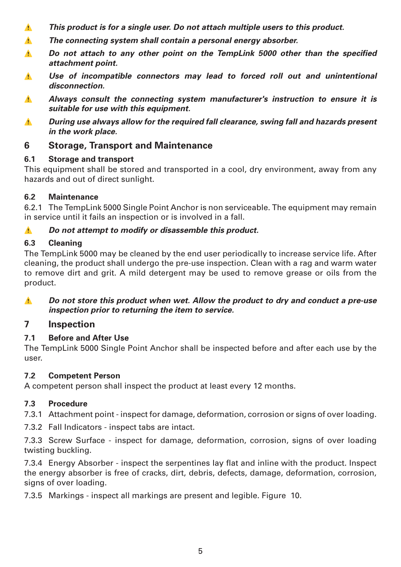- ⚠ *This product is for a single user. Do not attach multiple users to this product.*
- ⚠ *The connecting system shall contain a personal energy absorber.*
- **1.** Do not attach to any other point on the TempLink 5000 other than the specified *attachment point.*
- ⚠ *Use of incompatible connectors may lead to forced roll out and unintentional disconnection.*
- ⚠ *Always consult the connecting system manufacturer's instruction to ensure it is suitable for use with this equipment.*
- ⚠ *During use always allow for the required fall clearance, swing fall and hazards present in the work place.*

## **6 Storage, Transport and Maintenance**

## **6.1 Storage and transport**

This equipment shall be stored and transported in a cool, dry environment, away from any hazards and out of direct sunlight.

## **6.2 Maintenance**

6.2.1 The TempLink 5000 Single Point Anchor is non serviceable. The equipment may remain in service until it fails an inspection or is involved in a fall.

## ⚠ *Do not attempt to modify or disassemble this product.*

## **6.3 Cleaning**

The TempLink 5000 may be cleaned by the end user periodically to increase service life. After cleaning, the product shall undergo the pre-use inspection. Clean with a rag and warm water to remove dirt and grit. A mild detergent may be used to remove grease or oils from the product.

#### *A Do not store this product when wet. Allow the product to dry and conduct a pre-use inspection prior to returning the item to service.*

## **7 Inspection**

## **7.1 Before and After Use**

The TempLink 5000 Single Point Anchor shall be inspected before and after each use by the user.

## **7.2 Competent Person**

A competent person shall inspect the product at least every 12 months.

## **7.3 Procedure**

- 7.3.1 Attachment point inspect for damage, deformation, corrosion or signs of over loading.
- 7.3.2 Fall Indicators inspect tabs are intact.

7.3.3 Screw Surface - inspect for damage, deformation, corrosion, signs of over loading twisting buckling.

7.3.4 Energy Absorber - inspect the serpentines lay flat and inline with the product. Inspect the energy absorber is free of cracks, dirt, debris, defects, damage, deformation, corrosion, signs of over loading.

7.3.5 Markings - inspect all markings are present and legible. Figure 10.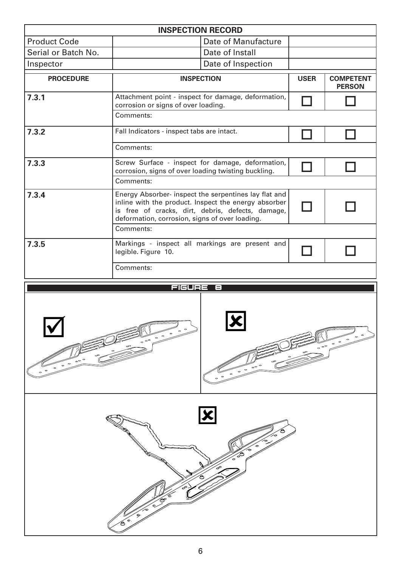| <b>INSPECTION RECORD</b>                                                                                                      |                                                                                                                                                                                                                      |                 |             |                                   |
|-------------------------------------------------------------------------------------------------------------------------------|----------------------------------------------------------------------------------------------------------------------------------------------------------------------------------------------------------------------|-----------------|-------------|-----------------------------------|
| <b>Product Code</b>                                                                                                           | Date of Manufacture                                                                                                                                                                                                  |                 |             |                                   |
| Serial or Batch No.                                                                                                           |                                                                                                                                                                                                                      | Date of Install |             |                                   |
| Inspector                                                                                                                     | Date of Inspection                                                                                                                                                                                                   |                 |             |                                   |
| <b>PROCEDURE</b>                                                                                                              | <b>INSPECTION</b>                                                                                                                                                                                                    |                 | <b>USER</b> | <b>COMPETENT</b><br><b>PERSON</b> |
| 7.3.1                                                                                                                         | Attachment point - inspect for damage, deformation,<br>corrosion or signs of over loading.                                                                                                                           |                 |             |                                   |
|                                                                                                                               | Comments:                                                                                                                                                                                                            |                 |             |                                   |
| 7.3.2                                                                                                                         | Fall Indicators - inspect tabs are intact.                                                                                                                                                                           |                 |             |                                   |
|                                                                                                                               | Comments:                                                                                                                                                                                                            |                 |             |                                   |
| 7.3.3                                                                                                                         | Screw Surface - inspect for damage, deformation,<br>corrosion, signs of over loading twisting buckling.                                                                                                              |                 |             |                                   |
|                                                                                                                               | Comments:                                                                                                                                                                                                            |                 |             |                                   |
| 7.3.4                                                                                                                         | Energy Absorber- inspect the serpentines lay flat and<br>inline with the product. Inspect the energy absorber<br>is free of cracks, dirt, debris, defects, damage,<br>deformation, corrosion, signs of over loading. |                 |             |                                   |
| Comments:                                                                                                                     |                                                                                                                                                                                                                      |                 |             |                                   |
| 7.3.5                                                                                                                         | Markings - inspect all markings are present and<br>legible. Figure 10.                                                                                                                                               |                 |             |                                   |
|                                                                                                                               | Comments:                                                                                                                                                                                                            |                 |             |                                   |
| <b>FIGURE 8</b>                                                                                                               |                                                                                                                                                                                                                      |                 |             |                                   |
| $\circ$<br>$\circ$<br>$\circ$<br>$\circ$<br>$\circ$<br>$\circ$ $^{\circ}$<br>$\circ$<br>$\circ$<br>$\circ^\circ$<br>$\bullet$ |                                                                                                                                                                                                                      |                 |             |                                   |
| ہ۔<br>$\circ$<br>∕⊙<br>Ê<br>Ο                                                                                                 |                                                                                                                                                                                                                      |                 |             |                                   |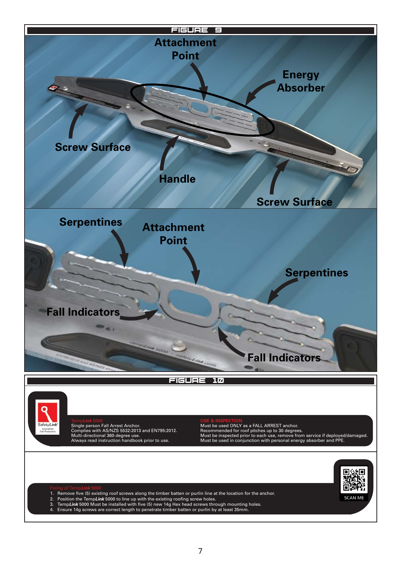